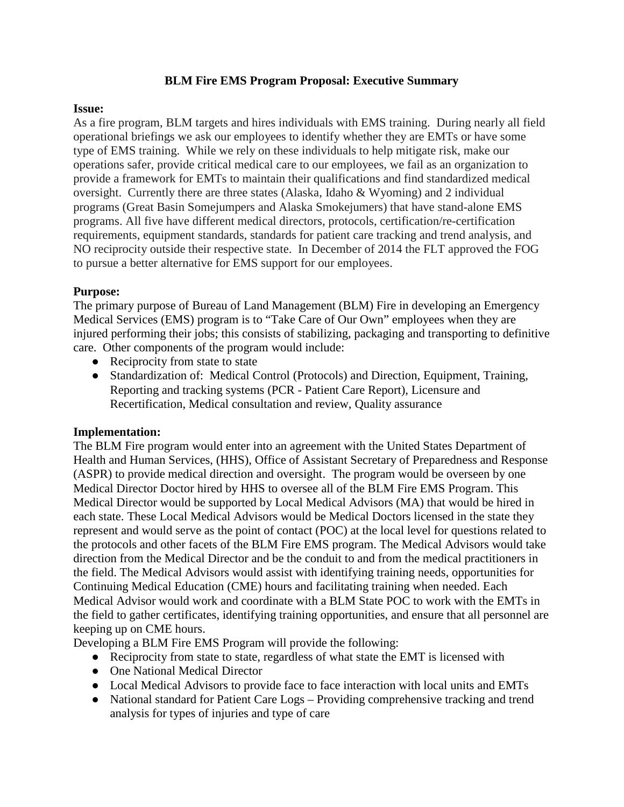## **BLM Fire EMS Program Proposal: Executive Summary**

### **Issue:**

As a fire program, BLM targets and hires individuals with EMS training. During nearly all field operational briefings we ask our employees to identify whether they are EMTs or have some type of EMS training. While we rely on these individuals to help mitigate risk, make our operations safer, provide critical medical care to our employees, we fail as an organization to provide a framework for EMTs to maintain their qualifications and find standardized medical oversight. Currently there are three states (Alaska, Idaho & Wyoming) and 2 individual programs (Great Basin Somejumpers and Alaska Smokejumers) that have stand-alone EMS programs. All five have different medical directors, protocols, certification/re-certification requirements, equipment standards, standards for patient care tracking and trend analysis, and NO reciprocity outside their respective state. In December of 2014 the FLT approved the FOG to pursue a better alternative for EMS support for our employees.

## **Purpose:**

The primary purpose of Bureau of Land Management (BLM) Fire in developing an Emergency Medical Services (EMS) program is to "Take Care of Our Own" employees when they are injured performing their jobs; this consists of stabilizing, packaging and transporting to definitive care. Other components of the program would include:

- Reciprocity from state to state
- Standardization of: Medical Control (Protocols) and Direction, Equipment, Training, Reporting and tracking systems (PCR - Patient Care Report), Licensure and Recertification, Medical consultation and review, Quality assurance

#### **Implementation:**

The BLM Fire program would enter into an agreement with the United States Department of Health and Human Services, (HHS), Office of Assistant Secretary of Preparedness and Response (ASPR) to provide medical direction and oversight. The program would be overseen by one Medical Director Doctor hired by HHS to oversee all of the BLM Fire EMS Program. This Medical Director would be supported by Local Medical Advisors (MA) that would be hired in each state. These Local Medical Advisors would be Medical Doctors licensed in the state they represent and would serve as the point of contact (POC) at the local level for questions related to the protocols and other facets of the BLM Fire EMS program. The Medical Advisors would take direction from the Medical Director and be the conduit to and from the medical practitioners in the field. The Medical Advisors would assist with identifying training needs, opportunities for Continuing Medical Education (CME) hours and facilitating training when needed. Each Medical Advisor would work and coordinate with a BLM State POC to work with the EMTs in the field to gather certificates, identifying training opportunities, and ensure that all personnel are keeping up on CME hours.

Developing a BLM Fire EMS Program will provide the following:

- Reciprocity from state to state, regardless of what state the EMT is licensed with
- One National Medical Director
- Local Medical Advisors to provide face to face interaction with local units and EMTs
- National standard for Patient Care Logs Providing comprehensive tracking and trend analysis for types of injuries and type of care